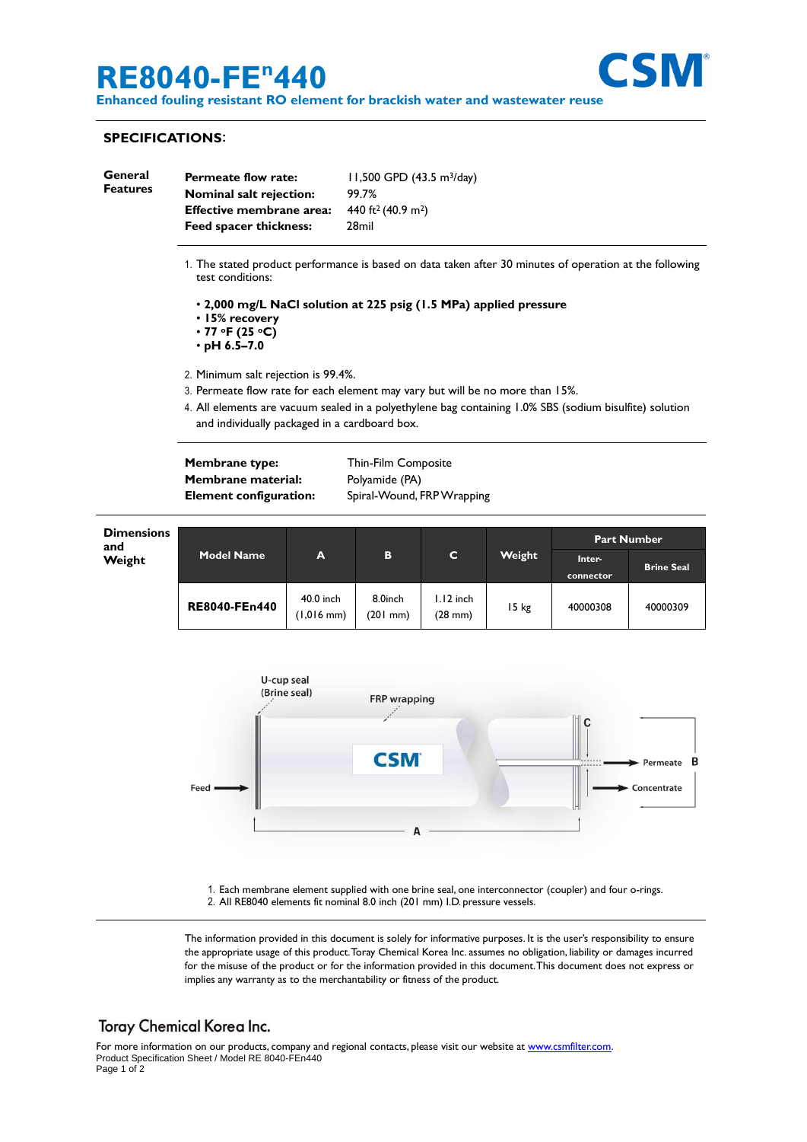# **RE8040-FE <sup>n</sup>440**



**Enhanced fouling resistant RO element for brackish water and wastewater reuse**

#### **SPECIFICATIONS**:

| General<br><b>Features</b> | <b>Permeate flow rate:</b><br><b>Nominal salt rejection:</b><br>Effective membrane area:<br>Feed spacer thickness:          | $11,500$ GPD $(43.5 \text{ m}^3/\text{day})$<br>99.7%<br>440 ft <sup>2</sup> (40.9 m <sup>2</sup> )<br>28mil |
|----------------------------|-----------------------------------------------------------------------------------------------------------------------------|--------------------------------------------------------------------------------------------------------------|
|                            | 1. The stated product performance is based on data taken after 30 minutes of operation at the following<br>test conditions: |                                                                                                              |
|                            | • 2,000 mg/L NaCl solution at 225 psig (1.5 MPa) applied pressure<br>• 15% recovery<br>$\cdot$ 77 oF (25 oC)                |                                                                                                              |

• **pH 6.5–7.0**

2. Minimum salt rejection is 99.4%.

- 3. Permeate flow rate for each element may vary but will be no more than 15%.
- 4. All elements are vacuum sealed in a polyethylene bag containing 1.0% SBS (sodium bisulfite) solution and individually packaged in a cardboard box.

**Membrane type:** Thin-Film Composite **Membrane material:** Polyamide (PA)

**Element configuration:** Spiral-Wound, FRP Wrapping





1. Each membrane element supplied with one brine seal, one interconnector (coupler) and four o-rings. 2. All RE8040 elements fit nominal 8.0 inch (201 mm) I.D. pressure vessels.

The information provided in this document is solely for informative purposes. It is the user's responsibility to ensure the appropriate usage of this product.Toray Chemical Korea Inc. assumes no obligation, liability or damages incurred for the misuse of the product or for the information provided in this document.This document does not express or implies any warranty as to the merchantability or fitness of the product.

## **Toray Chemical Korea Inc.**

For more information on our products, company and regional contacts, please visit our website at [www.csmfilter.com.](http://www.csmfilter.com/) Product Specification Sheet / Model RE 8040-FEn440 Page 1 of 2